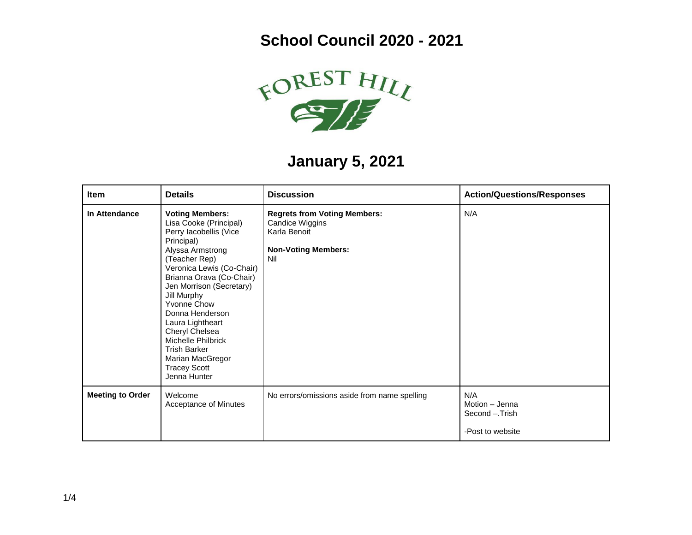**School Council 2020 - 2021**



## **January 5, 2021**

| Item                    | <b>Details</b>                                                                                                                                                                                                                                                                                                                                                                                                    | <b>Discussion</b>                                                                                           | <b>Action/Questions/Responses</b>                           |
|-------------------------|-------------------------------------------------------------------------------------------------------------------------------------------------------------------------------------------------------------------------------------------------------------------------------------------------------------------------------------------------------------------------------------------------------------------|-------------------------------------------------------------------------------------------------------------|-------------------------------------------------------------|
| In Attendance           | <b>Voting Members:</b><br>Lisa Cooke (Principal)<br>Perry lacobellis (Vice<br>Principal)<br>Alyssa Armstrong<br>(Teacher Rep)<br>Veronica Lewis (Co-Chair)<br>Brianna Orava (Co-Chair)<br>Jen Morrison (Secretary)<br>Jill Murphy<br>Yvonne Chow<br>Donna Henderson<br>Laura Lightheart<br>Cheryl Chelsea<br>Michelle Philbrick<br><b>Trish Barker</b><br>Marian MacGregor<br><b>Tracey Scott</b><br>Jenna Hunter | <b>Regrets from Voting Members:</b><br>Candice Wiggins<br>Karla Benoit<br><b>Non-Voting Members:</b><br>Nil | N/A                                                         |
| <b>Meeting to Order</b> | Welcome<br>Acceptance of Minutes                                                                                                                                                                                                                                                                                                                                                                                  | No errors/omissions aside from name spelling                                                                | N/A<br>Motion - Jenna<br>Second - Trish<br>-Post to website |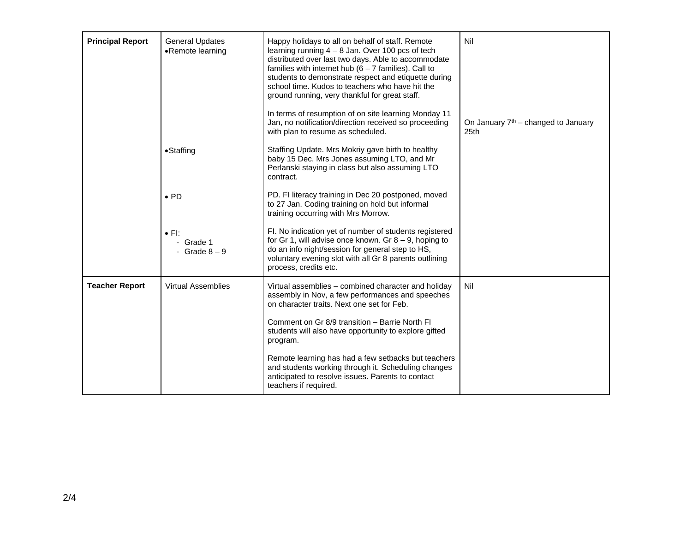| <b>Principal Report</b> | General Updates<br>•Remote learning         | Happy holidays to all on behalf of staff. Remote<br>learning running $4 - 8$ Jan. Over 100 pcs of tech<br>distributed over last two days. Able to accommodate<br>families with internet hub $(6 - 7$ families). Call to<br>students to demonstrate respect and etiquette during<br>school time. Kudos to teachers who have hit the<br>ground running, very thankful for great staff.<br>In terms of resumption of on site learning Monday 11<br>Jan, no notification/direction received so proceeding<br>with plan to resume as scheduled. | Nil<br>On January $7th$ – changed to January<br>25 <sub>th</sub> |
|-------------------------|---------------------------------------------|--------------------------------------------------------------------------------------------------------------------------------------------------------------------------------------------------------------------------------------------------------------------------------------------------------------------------------------------------------------------------------------------------------------------------------------------------------------------------------------------------------------------------------------------|------------------------------------------------------------------|
|                         | •Staffing                                   | Staffing Update. Mrs Mokriy gave birth to healthy<br>baby 15 Dec. Mrs Jones assuming LTO, and Mr<br>Perlanski staying in class but also assuming LTO<br>contract.                                                                                                                                                                                                                                                                                                                                                                          |                                                                  |
|                         | $\bullet$ PD                                | PD. FI literacy training in Dec 20 postponed, moved<br>to 27 Jan. Coding training on hold but informal<br>training occurring with Mrs Morrow.                                                                                                                                                                                                                                                                                                                                                                                              |                                                                  |
|                         | $\bullet$ FI:<br>- Grade 1<br>- Grade $8-9$ | FI. No indication yet of number of students registered<br>for Gr 1, will advise once known. Gr $8 - 9$ , hoping to<br>do an info night/session for general step to HS,<br>voluntary evening slot with all Gr 8 parents outlining<br>process, credits etc.                                                                                                                                                                                                                                                                                  |                                                                  |
| <b>Teacher Report</b>   | <b>Virtual Assemblies</b>                   | Virtual assemblies - combined character and holiday<br>assembly in Nov, a few performances and speeches<br>on character traits. Next one set for Feb.                                                                                                                                                                                                                                                                                                                                                                                      | Nil                                                              |
|                         |                                             | Comment on Gr 8/9 transition - Barrie North FI<br>students will also have opportunity to explore gifted<br>program.                                                                                                                                                                                                                                                                                                                                                                                                                        |                                                                  |
|                         |                                             | Remote learning has had a few setbacks but teachers<br>and students working through it. Scheduling changes<br>anticipated to resolve issues. Parents to contact<br>teachers if required.                                                                                                                                                                                                                                                                                                                                                   |                                                                  |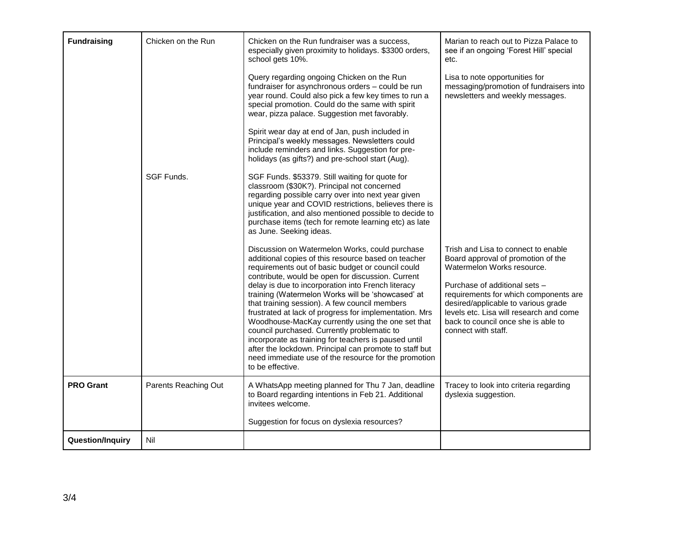| <b>Fundraising</b>      | Chicken on the Run<br>SGF Funds. | Chicken on the Run fundraiser was a success,<br>especially given proximity to holidays. \$3300 orders,<br>school gets 10%.<br>Query regarding ongoing Chicken on the Run<br>fundraiser for asynchronous orders - could be run<br>year round. Could also pick a few key times to run a<br>special promotion. Could do the same with spirit<br>wear, pizza palace. Suggestion met favorably.<br>Spirit wear day at end of Jan, push included in<br>Principal's weekly messages. Newsletters could<br>include reminders and links. Suggestion for pre-<br>holidays (as gifts?) and pre-school start (Aug).<br>SGF Funds. \$53379. Still waiting for quote for<br>classroom (\$30K?). Principal not concerned<br>regarding possible carry over into next year given<br>unique year and COVID restrictions, believes there is<br>justification, and also mentioned possible to decide to<br>purchase items (tech for remote learning etc) as late<br>as June. Seeking ideas. | Marian to reach out to Pizza Palace to<br>see if an ongoing 'Forest Hill' special<br>etc.<br>Lisa to note opportunities for<br>messaging/promotion of fundraisers into<br>newsletters and weekly messages.                                                                                                                        |
|-------------------------|----------------------------------|-------------------------------------------------------------------------------------------------------------------------------------------------------------------------------------------------------------------------------------------------------------------------------------------------------------------------------------------------------------------------------------------------------------------------------------------------------------------------------------------------------------------------------------------------------------------------------------------------------------------------------------------------------------------------------------------------------------------------------------------------------------------------------------------------------------------------------------------------------------------------------------------------------------------------------------------------------------------------|-----------------------------------------------------------------------------------------------------------------------------------------------------------------------------------------------------------------------------------------------------------------------------------------------------------------------------------|
|                         |                                  | Discussion on Watermelon Works, could purchase<br>additional copies of this resource based on teacher<br>requirements out of basic budget or council could<br>contribute, would be open for discussion. Current<br>delay is due to incorporation into French literacy<br>training (Watermelon Works will be 'showcased' at<br>that training session). A few council members<br>frustrated at lack of progress for implementation. Mrs<br>Woodhouse-MacKay currently using the one set that<br>council purchased. Currently problematic to<br>incorporate as training for teachers is paused until<br>after the lockdown. Principal can promote to staff but<br>need immediate use of the resource for the promotion<br>to be effective.                                                                                                                                                                                                                                 | Trish and Lisa to connect to enable<br>Board approval of promotion of the<br>Watermelon Works resource.<br>Purchase of additional sets -<br>requirements for which components are<br>desired/applicable to various grade<br>levels etc. Lisa will research and come<br>back to council once she is able to<br>connect with staff. |
| <b>PRO Grant</b>        | Parents Reaching Out             | A WhatsApp meeting planned for Thu 7 Jan, deadline<br>to Board regarding intentions in Feb 21. Additional<br>invitees welcome.<br>Suggestion for focus on dyslexia resources?                                                                                                                                                                                                                                                                                                                                                                                                                                                                                                                                                                                                                                                                                                                                                                                           | Tracey to look into criteria regarding<br>dyslexia suggestion.                                                                                                                                                                                                                                                                    |
| <b>Question/Inquiry</b> | Nil                              |                                                                                                                                                                                                                                                                                                                                                                                                                                                                                                                                                                                                                                                                                                                                                                                                                                                                                                                                                                         |                                                                                                                                                                                                                                                                                                                                   |